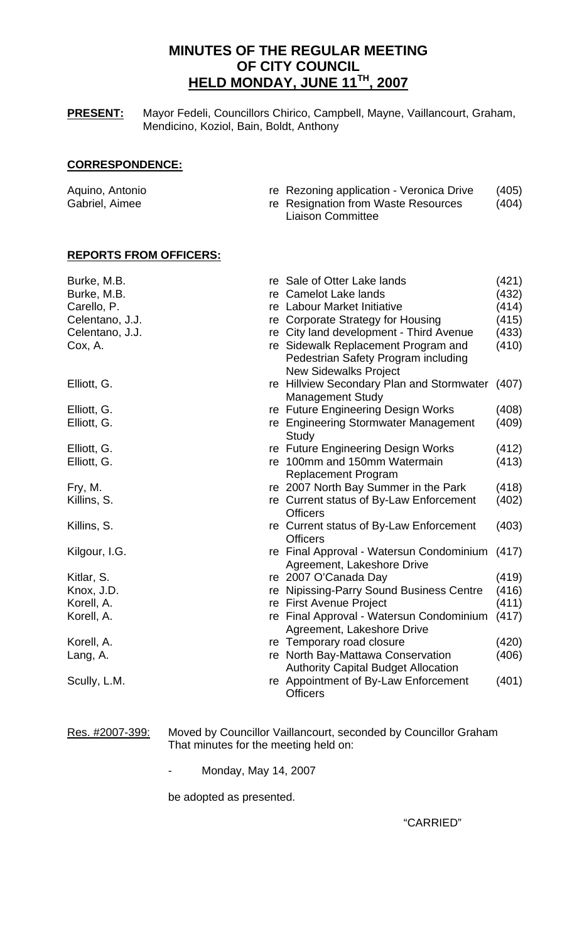# **MINUTES OF THE REGULAR MEETING OF CITY COUNCIL HELD MONDAY, JUNE 11TH, 2007**

**PRESENT:** Mayor Fedeli, Councillors Chirico, Campbell, Mayne, Vaillancourt, Graham, Mendicino, Koziol, Bain, Boldt, Anthony

## **CORRESPONDENCE:**

| Aquino, Antonio | re Rezoning application - Veronica Drive | (405) |
|-----------------|------------------------------------------|-------|
| Gabriel, Aimee  | re Resignation from Waste Resources      | (404) |
|                 | <b>Liaison Committee</b>                 |       |

## **REPORTS FROM OFFICERS:**

| Burke, M.B.     | re Sale of Otter Lake lands                                                     | (421) |
|-----------------|---------------------------------------------------------------------------------|-------|
| Burke, M.B.     | re Camelot Lake lands                                                           | (432) |
| Carello, P.     | re Labour Market Initiative                                                     | (414) |
| Celentano, J.J. | re Corporate Strategy for Housing                                               | (415) |
| Celentano, J.J. | re City land development - Third Avenue                                         | (433) |
| Cox, A.         | re Sidewalk Replacement Program and<br>Pedestrian Safety Program including      | (410) |
|                 | <b>New Sidewalks Project</b>                                                    |       |
| Elliott, G.     | re Hillview Secondary Plan and Stormwater<br><b>Management Study</b>            | (407) |
| Elliott, G.     | re Future Engineering Design Works                                              | (408) |
| Elliott, G.     | re Engineering Stormwater Management<br>Study                                   | (409) |
| Elliott, G.     | re Future Engineering Design Works                                              | (412) |
| Elliott, G.     | re 100mm and 150mm Watermain<br><b>Replacement Program</b>                      | (413) |
| Fry, M.         | re 2007 North Bay Summer in the Park                                            | (418) |
| Killins, S.     | re Current status of By-Law Enforcement<br><b>Officers</b>                      | (402) |
| Killins, S.     | re Current status of By-Law Enforcement<br><b>Officers</b>                      | (403) |
| Kilgour, I.G.   | re Final Approval - Watersun Condominium<br>Agreement, Lakeshore Drive          | (417) |
| Kitlar, S.      | re 2007 O'Canada Day                                                            | (419) |
| Knox, J.D.      | re Nipissing-Parry Sound Business Centre                                        | (416) |
| Korell, A.      | re First Avenue Project                                                         | (411) |
| Korell, A.      | re Final Approval - Watersun Condominium<br>Agreement, Lakeshore Drive          | (417) |
| Korell, A.      | re Temporary road closure                                                       | (420) |
| Lang, A.        | re North Bay-Mattawa Conservation<br><b>Authority Capital Budget Allocation</b> | (406) |
| Scully, L.M.    | re Appointment of By-Law Enforcement<br><b>Officers</b>                         | (401) |

Res. #2007-399: Moved by Councillor Vaillancourt, seconded by Councillor Graham That minutes for the meeting held on:

- Monday, May 14, 2007

be adopted as presented.

"CARRIED"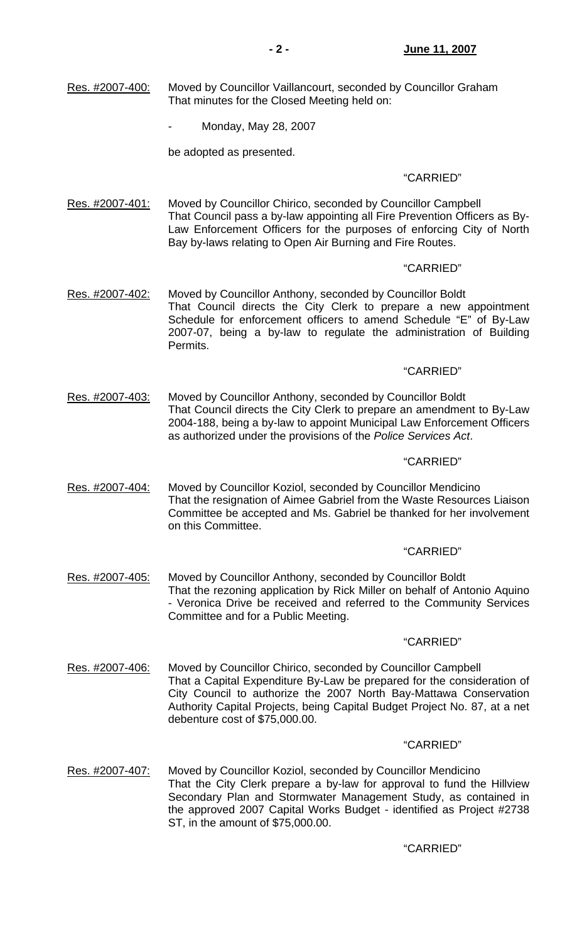- Res. #2007-400: Moved by Councillor Vaillancourt, seconded by Councillor Graham That minutes for the Closed Meeting held on:
	- Monday, May 28, 2007

be adopted as presented.

## "CARRIED"

Res. #2007-401: Moved by Councillor Chirico, seconded by Councillor Campbell That Council pass a by-law appointing all Fire Prevention Officers as By-Law Enforcement Officers for the purposes of enforcing City of North Bay by-laws relating to Open Air Burning and Fire Routes.

## "CARRIED"

Res. #2007-402: Moved by Councillor Anthony, seconded by Councillor Boldt That Council directs the City Clerk to prepare a new appointment Schedule for enforcement officers to amend Schedule "E" of By-Law 2007-07, being a by-law to regulate the administration of Building Permits.

## "CARRIED"

Res. #2007-403: Moved by Councillor Anthony, seconded by Councillor Boldt That Council directs the City Clerk to prepare an amendment to By-Law 2004-188, being a by-law to appoint Municipal Law Enforcement Officers as authorized under the provisions of the *Police Services Act*.

#### "CARRIED"

Res. #2007-404: Moved by Councillor Koziol, seconded by Councillor Mendicino That the resignation of Aimee Gabriel from the Waste Resources Liaison Committee be accepted and Ms. Gabriel be thanked for her involvement on this Committee.

## "CARRIED"

Res. #2007-405: Moved by Councillor Anthony, seconded by Councillor Boldt That the rezoning application by Rick Miller on behalf of Antonio Aquino - Veronica Drive be received and referred to the Community Services Committee and for a Public Meeting.

#### "CARRIED"

Res. #2007-406: Moved by Councillor Chirico, seconded by Councillor Campbell That a Capital Expenditure By-Law be prepared for the consideration of City Council to authorize the 2007 North Bay-Mattawa Conservation Authority Capital Projects, being Capital Budget Project No. 87, at a net debenture cost of \$75,000.00.

## "CARRIED"

Res. #2007-407: Moved by Councillor Koziol, seconded by Councillor Mendicino That the City Clerk prepare a by-law for approval to fund the Hillview Secondary Plan and Stormwater Management Study, as contained in the approved 2007 Capital Works Budget - identified as Project #2738 ST, in the amount of \$75,000.00.

## "CARRIED"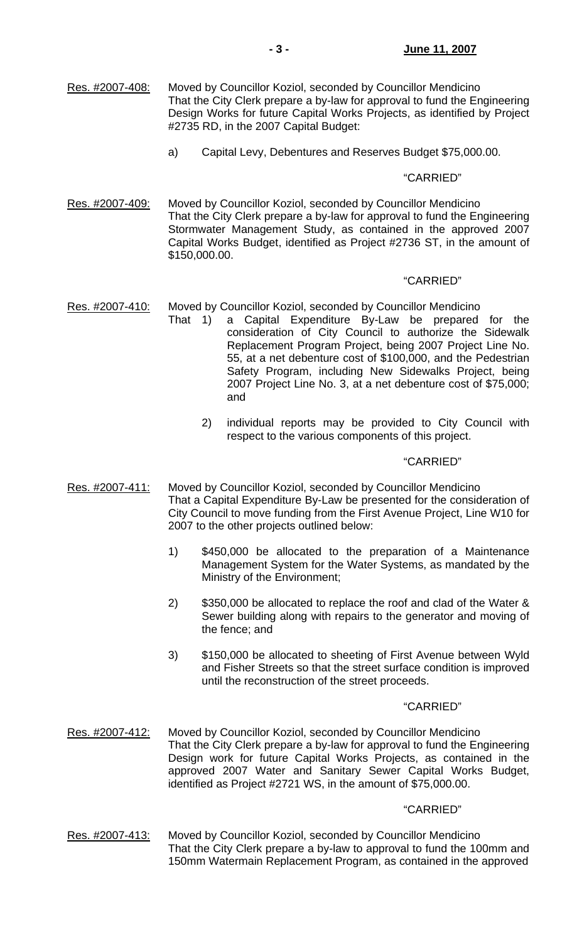- Res. #2007-408: Moved by Councillor Koziol, seconded by Councillor Mendicino That the City Clerk prepare a by-law for approval to fund the Engineering Design Works for future Capital Works Projects, as identified by Project #2735 RD, in the 2007 Capital Budget:
	- a) Capital Levy, Debentures and Reserves Budget \$75,000.00.

## "CARRIED"

Res. #2007-409: Moved by Councillor Koziol, seconded by Councillor Mendicino That the City Clerk prepare a by-law for approval to fund the Engineering Stormwater Management Study, as contained in the approved 2007 Capital Works Budget, identified as Project #2736 ST, in the amount of \$150,000.00.

## "CARRIED"

## Res. #2007-410: Moved by Councillor Koziol, seconded by Councillor Mendicino

- That 1) a Capital Expenditure By-Law be prepared for the consideration of City Council to authorize the Sidewalk Replacement Program Project, being 2007 Project Line No. 55, at a net debenture cost of \$100,000, and the Pedestrian Safety Program, including New Sidewalks Project, being 2007 Project Line No. 3, at a net debenture cost of \$75,000; and
	- 2) individual reports may be provided to City Council with respect to the various components of this project.

#### "CARRIED"

- Res. #2007-411: Moved by Councillor Koziol, seconded by Councillor Mendicino That a Capital Expenditure By-Law be presented for the consideration of City Council to move funding from the First Avenue Project, Line W10 for 2007 to the other projects outlined below:
	- 1) \$450,000 be allocated to the preparation of a Maintenance Management System for the Water Systems, as mandated by the Ministry of the Environment;
	- 2) \$350,000 be allocated to replace the roof and clad of the Water & Sewer building along with repairs to the generator and moving of the fence; and
	- 3) \$150,000 be allocated to sheeting of First Avenue between Wyld and Fisher Streets so that the street surface condition is improved until the reconstruction of the street proceeds.

#### "CARRIED"

Res. #2007-412: Moved by Councillor Koziol, seconded by Councillor Mendicino That the City Clerk prepare a by-law for approval to fund the Engineering Design work for future Capital Works Projects, as contained in the approved 2007 Water and Sanitary Sewer Capital Works Budget, identified as Project #2721 WS, in the amount of \$75,000.00.

## "CARRIED"

Res. #2007-413: Moved by Councillor Koziol, seconded by Councillor Mendicino That the City Clerk prepare a by-law to approval to fund the 100mm and 150mm Watermain Replacement Program, as contained in the approved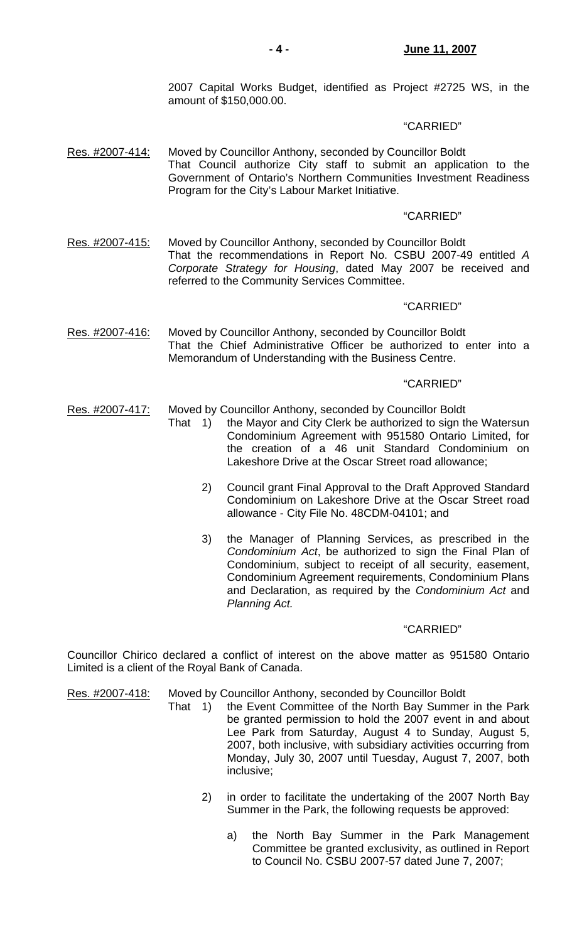2007 Capital Works Budget, identified as Project #2725 WS, in the amount of \$150,000.00.

#### "CARRIED"

Res. #2007-414: Moved by Councillor Anthony, seconded by Councillor Boldt That Council authorize City staff to submit an application to the Government of Ontario's Northern Communities Investment Readiness Program for the City's Labour Market Initiative.

#### "CARRIED"

Res. #2007-415: Moved by Councillor Anthony, seconded by Councillor Boldt That the recommendations in Report No. CSBU 2007-49 entitled *A Corporate Strategy for Housing*, dated May 2007 be received and referred to the Community Services Committee.

## "CARRIED"

Res. #2007-416: Moved by Councillor Anthony, seconded by Councillor Boldt That the Chief Administrative Officer be authorized to enter into a Memorandum of Understanding with the Business Centre.

## "CARRIED"

- Res. #2007-417: Moved by Councillor Anthony, seconded by Councillor Boldt
	- That 1) the Mayor and City Clerk be authorized to sign the Watersun Condominium Agreement with 951580 Ontario Limited, for the creation of a 46 unit Standard Condominium on Lakeshore Drive at the Oscar Street road allowance;
		- 2) Council grant Final Approval to the Draft Approved Standard Condominium on Lakeshore Drive at the Oscar Street road allowance - City File No. 48CDM-04101; and
		- 3) the Manager of Planning Services, as prescribed in the *Condominium Act*, be authorized to sign the Final Plan of Condominium, subject to receipt of all security, easement, Condominium Agreement requirements, Condominium Plans and Declaration, as required by the *Condominium Act* and *Planning Act.*

#### "CARRIED"

Councillor Chirico declared a conflict of interest on the above matter as 951580 Ontario Limited is a client of the Royal Bank of Canada.

Res. #2007-418: Moved by Councillor Anthony, seconded by Councillor Boldt

- That 1) the Event Committee of the North Bay Summer in the Park be granted permission to hold the 2007 event in and about Lee Park from Saturday, August 4 to Sunday, August 5, 2007, both inclusive, with subsidiary activities occurring from Monday, July 30, 2007 until Tuesday, August 7, 2007, both inclusive;
	- 2) in order to facilitate the undertaking of the 2007 North Bay Summer in the Park, the following requests be approved:
		- a) the North Bay Summer in the Park Management Committee be granted exclusivity, as outlined in Report to Council No. CSBU 2007-57 dated June 7, 2007;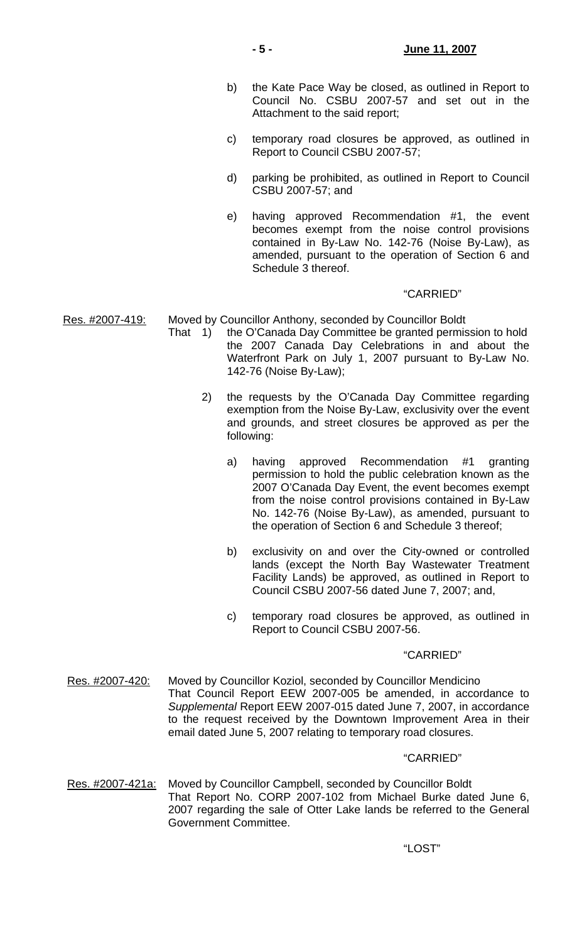- b) the Kate Pace Way be closed, as outlined in Report to Council No. CSBU 2007-57 and set out in the Attachment to the said report;
- c) temporary road closures be approved, as outlined in Report to Council CSBU 2007-57;
- d) parking be prohibited, as outlined in Report to Council CSBU 2007-57; and
- e) having approved Recommendation #1, the event becomes exempt from the noise control provisions contained in By-Law No. 142-76 (Noise By-Law), as amended, pursuant to the operation of Section 6 and Schedule 3 thereof.

## "CARRIED"

Res. #2007-419: Moved by Councillor Anthony, seconded by Councillor Boldt

- That 1) the O'Canada Day Committee be granted permission to hold the 2007 Canada Day Celebrations in and about the Waterfront Park on July 1, 2007 pursuant to By-Law No. 142-76 (Noise By-Law);
	- 2) the requests by the O'Canada Day Committee regarding exemption from the Noise By-Law, exclusivity over the event and grounds, and street closures be approved as per the following:
		- a) having approved Recommendation #1 granting permission to hold the public celebration known as the 2007 O'Canada Day Event, the event becomes exempt from the noise control provisions contained in By-Law No. 142-76 (Noise By-Law), as amended, pursuant to the operation of Section 6 and Schedule 3 thereof;
		- b) exclusivity on and over the City-owned or controlled lands (except the North Bay Wastewater Treatment Facility Lands) be approved, as outlined in Report to Council CSBU 2007-56 dated June 7, 2007; and,
		- c) temporary road closures be approved, as outlined in Report to Council CSBU 2007-56.

## "CARRIED"

Res. #2007-420: Moved by Councillor Koziol, seconded by Councillor Mendicino That Council Report EEW 2007-005 be amended, in accordance to *Supplemental* Report EEW 2007-015 dated June 7, 2007, in accordance to the request received by the Downtown Improvement Area in their email dated June 5, 2007 relating to temporary road closures.

## "CARRIED"

Res. #2007-421a: Moved by Councillor Campbell, seconded by Councillor Boldt That Report No. CORP 2007-102 from Michael Burke dated June 6, 2007 regarding the sale of Otter Lake lands be referred to the General Government Committee.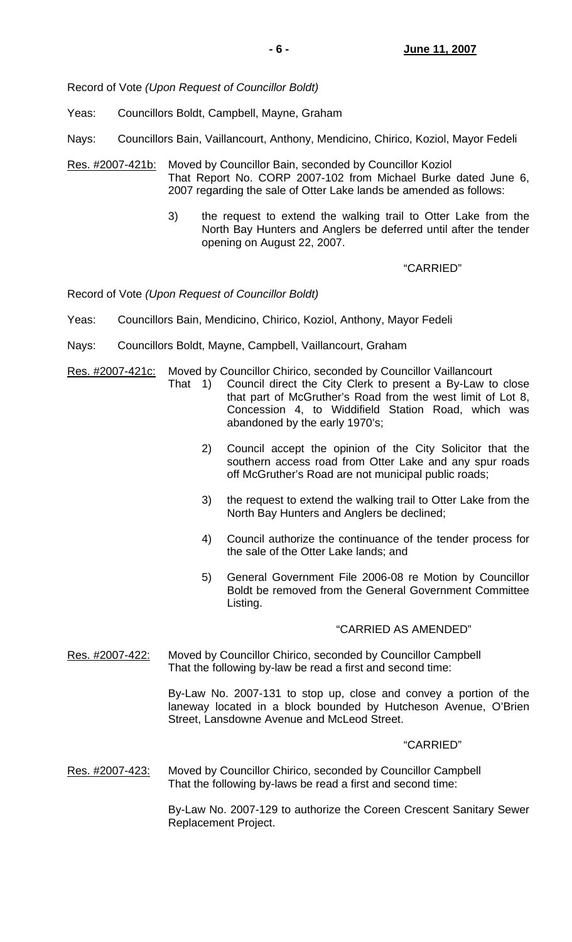Record of Vote *(Upon Request of Councillor Boldt)*

Yeas: Councillors Boldt, Campbell, Mayne, Graham

Nays: Councillors Bain, Vaillancourt, Anthony, Mendicino, Chirico, Koziol, Mayor Fedeli

- Res. #2007-421b: Moved by Councillor Bain, seconded by Councillor Koziol That Report No. CORP 2007-102 from Michael Burke dated June 6, 2007 regarding the sale of Otter Lake lands be amended as follows:
	- 3) the request to extend the walking trail to Otter Lake from the North Bay Hunters and Anglers be deferred until after the tender opening on August 22, 2007.

"CARRIED"

Record of Vote *(Upon Request of Councillor Boldt)*

- Yeas: Councillors Bain, Mendicino, Chirico, Koziol, Anthony, Mayor Fedeli
- Nays: Councillors Boldt, Mayne, Campbell, Vaillancourt, Graham
- Res. #2007-421c: Moved by Councillor Chirico, seconded by Councillor Vaillancourt
	- That 1) Council direct the City Clerk to present a By-Law to close that part of McGruther's Road from the west limit of Lot 8, Concession 4, to Widdifield Station Road, which was abandoned by the early 1970's;
		- 2) Council accept the opinion of the City Solicitor that the southern access road from Otter Lake and any spur roads off McGruther's Road are not municipal public roads;
		- 3) the request to extend the walking trail to Otter Lake from the North Bay Hunters and Anglers be declined;
		- 4) Council authorize the continuance of the tender process for the sale of the Otter Lake lands; and
		- 5) General Government File 2006-08 re Motion by Councillor Boldt be removed from the General Government Committee Listing.

## "CARRIED AS AMENDED"

Res. #2007-422: Moved by Councillor Chirico, seconded by Councillor Campbell That the following by-law be read a first and second time:

> By-Law No. 2007-131 to stop up, close and convey a portion of the laneway located in a block bounded by Hutcheson Avenue, O'Brien Street, Lansdowne Avenue and McLeod Street.

## "CARRIED"

Res. #2007-423: Moved by Councillor Chirico, seconded by Councillor Campbell That the following by-laws be read a first and second time:

> By-Law No. 2007-129 to authorize the Coreen Crescent Sanitary Sewer Replacement Project.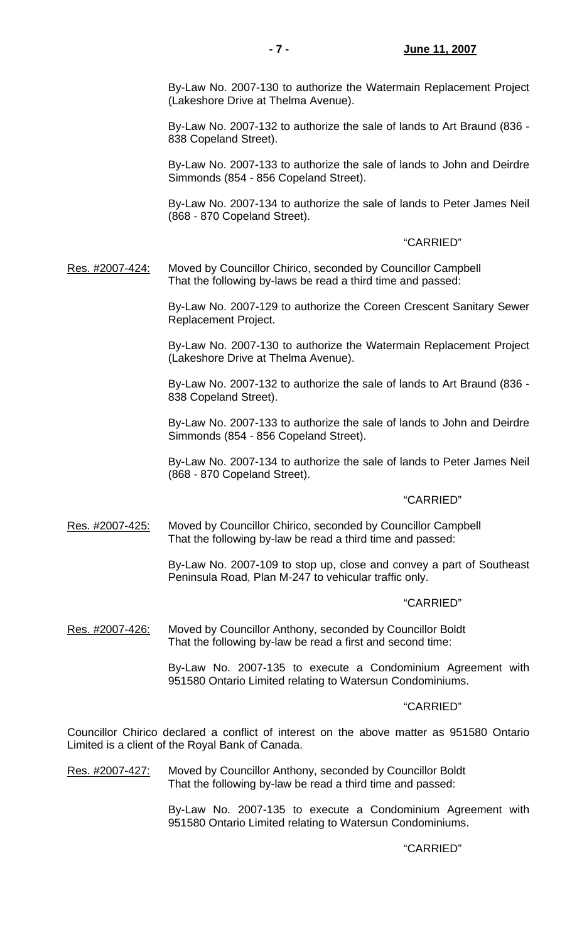By-Law No. 2007-130 to authorize the Watermain Replacement Project (Lakeshore Drive at Thelma Avenue).

 By-Law No. 2007-132 to authorize the sale of lands to Art Braund (836 - 838 Copeland Street).

 By-Law No. 2007-133 to authorize the sale of lands to John and Deirdre Simmonds (854 - 856 Copeland Street).

 By-Law No. 2007-134 to authorize the sale of lands to Peter James Neil (868 - 870 Copeland Street).

## "CARRIED"

Res. #2007-424: Moved by Councillor Chirico, seconded by Councillor Campbell That the following by-laws be read a third time and passed:

> By-Law No. 2007-129 to authorize the Coreen Crescent Sanitary Sewer Replacement Project.

> By-Law No. 2007-130 to authorize the Watermain Replacement Project (Lakeshore Drive at Thelma Avenue).

> By-Law No. 2007-132 to authorize the sale of lands to Art Braund (836 - 838 Copeland Street).

> By-Law No. 2007-133 to authorize the sale of lands to John and Deirdre Simmonds (854 - 856 Copeland Street).

> By-Law No. 2007-134 to authorize the sale of lands to Peter James Neil (868 - 870 Copeland Street).

#### "CARRIED"

Res. #2007-425: Moved by Councillor Chirico, seconded by Councillor Campbell That the following by-law be read a third time and passed:

> By-Law No. 2007-109 to stop up, close and convey a part of Southeast Peninsula Road, Plan M-247 to vehicular traffic only.

#### "CARRIED"

Res. #2007-426: Moved by Councillor Anthony, seconded by Councillor Boldt That the following by-law be read a first and second time:

> By-Law No. 2007-135 to execute a Condominium Agreement with 951580 Ontario Limited relating to Watersun Condominiums.

## "CARRIED"

Councillor Chirico declared a conflict of interest on the above matter as 951580 Ontario Limited is a client of the Royal Bank of Canada.

Res. #2007-427: Moved by Councillor Anthony, seconded by Councillor Boldt That the following by-law be read a third time and passed:

> By-Law No. 2007-135 to execute a Condominium Agreement with 951580 Ontario Limited relating to Watersun Condominiums.

## "CARRIED"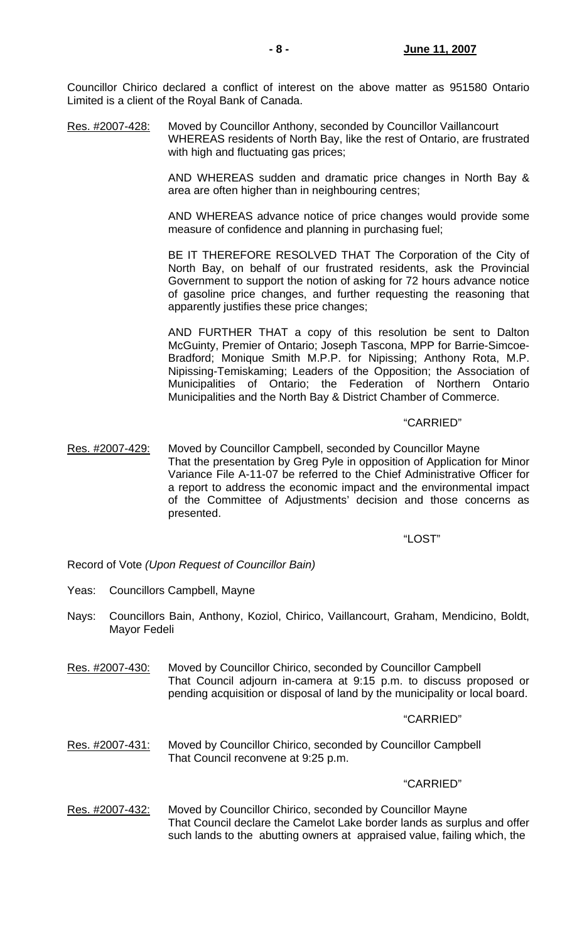Councillor Chirico declared a conflict of interest on the above matter as 951580 Ontario Limited is a client of the Royal Bank of Canada.

Res. #2007-428: Moved by Councillor Anthony, seconded by Councillor Vaillancourt WHEREAS residents of North Bay, like the rest of Ontario, are frustrated with high and fluctuating gas prices;

> AND WHEREAS sudden and dramatic price changes in North Bay & area are often higher than in neighbouring centres;

> AND WHEREAS advance notice of price changes would provide some measure of confidence and planning in purchasing fuel;

> BE IT THEREFORE RESOLVED THAT The Corporation of the City of North Bay, on behalf of our frustrated residents, ask the Provincial Government to support the notion of asking for 72 hours advance notice of gasoline price changes, and further requesting the reasoning that apparently justifies these price changes;

> AND FURTHER THAT a copy of this resolution be sent to Dalton McGuinty, Premier of Ontario; Joseph Tascona, MPP for Barrie-Simcoe-Bradford; Monique Smith M.P.P. for Nipissing; Anthony Rota, M.P. Nipissing-Temiskaming; Leaders of the Opposition; the Association of Municipalities of Ontario; the Federation of Northern Ontario Municipalities and the North Bay & District Chamber of Commerce.

## "CARRIED"

Res. #2007-429: Moved by Councillor Campbell, seconded by Councillor Mayne That the presentation by Greg Pyle in opposition of Application for Minor Variance File A-11-07 be referred to the Chief Administrative Officer for a report to address the economic impact and the environmental impact of the Committee of Adjustments' decision and those concerns as presented.

"LOST"

Record of Vote *(Upon Request of Councillor Bain)*

- Yeas: Councillors Campbell, Mayne
- Nays: Councillors Bain, Anthony, Koziol, Chirico, Vaillancourt, Graham, Mendicino, Boldt, Mayor Fedeli
- Res. #2007-430: Moved by Councillor Chirico, seconded by Councillor Campbell That Council adjourn in-camera at 9:15 p.m. to discuss proposed or pending acquisition or disposal of land by the municipality or local board.

#### "CARRIED"

Res. #2007-431: Moved by Councillor Chirico, seconded by Councillor Campbell That Council reconvene at 9:25 p.m.

#### "CARRIED"

Res. #2007-432: Moved by Councillor Chirico, seconded by Councillor Mayne That Council declare the Camelot Lake border lands as surplus and offer such lands to the abutting owners at appraised value, failing which, the